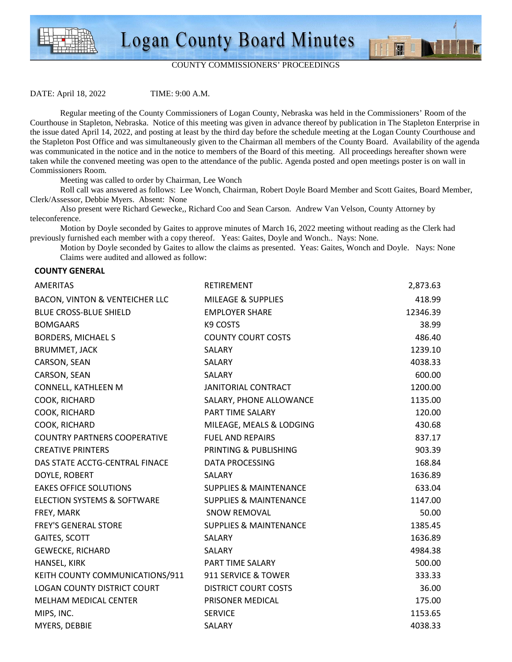



### COUNTY COMMISSIONERS' PROCEEDINGS

DATE: April 18, 2022 TIME: 9:00 A.M.

 Regular meeting of the County Commissioners of Logan County, Nebraska was held in the Commissioners' Room of the Courthouse in Stapleton, Nebraska. Notice of this meeting was given in advance thereof by publication in The Stapleton Enterprise in the issue dated April 14, 2022, and posting at least by the third day before the schedule meeting at the Logan County Courthouse and the Stapleton Post Office and was simultaneously given to the Chairman all members of the County Board. Availability of the agenda was communicated in the notice and in the notice to members of the Board of this meeting. All proceedings hereafter shown were taken while the convened meeting was open to the attendance of the public. Agenda posted and open meetings poster is on wall in Commissioners Room.

Meeting was called to order by Chairman, Lee Wonch

 Roll call was answered as follows: Lee Wonch, Chairman, Robert Doyle Board Member and Scott Gaites, Board Member, Clerk/Assessor, Debbie Myers. Absent: None

 Also present were Richard Gewecke,, Richard Coo and Sean Carson. Andrew Van Velson, County Attorney by teleconference.

Motion by Doyle seconded by Gaites to approve minutes of March 16, 2022 meeting without reading as the Clerk had previously furnished each member with a copy thereof. Yeas: Gaites, Doyle and Wonch.. Nays: None.

 Motion by Doyle seconded by Gaites to allow the claims as presented. Yeas: Gaites, Wonch and Doyle. Nays: None Claims were audited and allowed as follow:

### **COUNTY GENERAL**

| <b>AMERITAS</b>                           | RETIREMENT                        | 2,873.63 |
|-------------------------------------------|-----------------------------------|----------|
| <b>BACON, VINTON &amp; VENTEICHER LLC</b> | <b>MILEAGE &amp; SUPPLIES</b>     | 418.99   |
| <b>BLUE CROSS-BLUE SHIELD</b>             | <b>EMPLOYER SHARE</b>             | 12346.39 |
| <b>BOMGAARS</b>                           | K9 COSTS                          | 38.99    |
| <b>BORDERS, MICHAEL S</b>                 | <b>COUNTY COURT COSTS</b>         | 486.40   |
| <b>BRUMMET, JACK</b>                      | SALARY                            | 1239.10  |
| CARSON, SEAN                              | SALARY                            | 4038.33  |
| CARSON, SEAN                              | SALARY                            | 600.00   |
| CONNELL, KATHLEEN M                       | <b>JANITORIAL CONTRACT</b>        | 1200.00  |
| COOK, RICHARD                             | SALARY, PHONE ALLOWANCE           | 1135.00  |
| COOK, RICHARD                             | PART TIME SALARY                  | 120.00   |
| COOK, RICHARD                             | MILEAGE, MEALS & LODGING          | 430.68   |
| <b>COUNTRY PARTNERS COOPERATIVE</b>       | <b>FUEL AND REPAIRS</b>           | 837.17   |
| <b>CREATIVE PRINTERS</b>                  | PRINTING & PUBLISHING             | 903.39   |
| DAS STATE ACCTG-CENTRAL FINACE            | DATA PROCESSING                   | 168.84   |
| DOYLE, ROBERT                             | SALARY                            | 1636.89  |
| <b>EAKES OFFICE SOLUTIONS</b>             | <b>SUPPLIES &amp; MAINTENANCE</b> | 633.04   |
| ELECTION SYSTEMS & SOFTWARE               | <b>SUPPLIES &amp; MAINTENANCE</b> | 1147.00  |
| FREY, MARK                                | <b>SNOW REMOVAL</b>               | 50.00    |
| <b>FREY'S GENERAL STORE</b>               | <b>SUPPLIES &amp; MAINTENANCE</b> | 1385.45  |
| GAITES, SCOTT                             | SALARY                            | 1636.89  |
| <b>GEWECKE, RICHARD</b>                   | SALARY                            | 4984.38  |
| HANSEL, KIRK                              | PART TIME SALARY                  | 500.00   |
| KEITH COUNTY COMMUNICATIONS/911           | 911 SERVICE & TOWER               | 333.33   |
| <b>LOGAN COUNTY DISTRICT COURT</b>        | <b>DISTRICT COURT COSTS</b>       | 36.00    |
| MELHAM MEDICAL CENTER                     | PRISONER MEDICAL                  | 175.00   |
| MIPS, INC.                                | <b>SERVICE</b>                    | 1153.65  |
| MYERS, DEBBIE                             | SALARY                            | 4038.33  |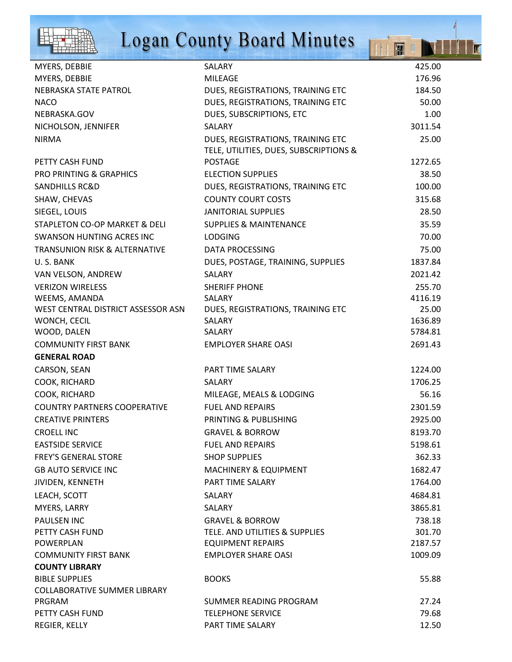

# Logan County Board Minutes

HIN D

ĪT

| MYERS, DEBBIE                            | SALARY                                 | 425.00  |
|------------------------------------------|----------------------------------------|---------|
| MYERS, DEBBIE                            | <b>MILEAGE</b>                         | 176.96  |
| NEBRASKA STATE PATROL                    | DUES, REGISTRATIONS, TRAINING ETC      | 184.50  |
| <b>NACO</b>                              | DUES, REGISTRATIONS, TRAINING ETC      | 50.00   |
| NEBRASKA.GOV                             | DUES, SUBSCRIPTIONS, ETC               | 1.00    |
| NICHOLSON, JENNIFER                      | SALARY                                 | 3011.54 |
| <b>NIRMA</b>                             | DUES, REGISTRATIONS, TRAINING ETC      | 25.00   |
|                                          | TELE, UTILITIES, DUES, SUBSCRIPTIONS & |         |
| PETTY CASH FUND                          | <b>POSTAGE</b>                         | 1272.65 |
| <b>PRO PRINTING &amp; GRAPHICS</b>       | <b>ELECTION SUPPLIES</b>               | 38.50   |
| <b>SANDHILLS RC&amp;D</b>                | DUES, REGISTRATIONS, TRAINING ETC      | 100.00  |
| SHAW, CHEVAS                             | <b>COUNTY COURT COSTS</b>              | 315.68  |
| SIEGEL, LOUIS                            | <b>JANITORIAL SUPPLIES</b>             | 28.50   |
| STAPLETON CO-OP MARKET & DELI            | <b>SUPPLIES &amp; MAINTENANCE</b>      | 35.59   |
| SWANSON HUNTING ACRES INC                | <b>LODGING</b>                         | 70.00   |
| <b>TRANSUNION RISK &amp; ALTERNATIVE</b> | DATA PROCESSING                        | 75.00   |
| U.S. BANK                                | DUES, POSTAGE, TRAINING, SUPPLIES      | 1837.84 |
| VAN VELSON, ANDREW                       | SALARY                                 | 2021.42 |
| <b>VERIZON WIRELESS</b>                  | <b>SHERIFF PHONE</b>                   | 255.70  |
| WEEMS, AMANDA                            | SALARY                                 | 4116.19 |
| WEST CENTRAL DISTRICT ASSESSOR ASN       | DUES, REGISTRATIONS, TRAINING ETC      | 25.00   |
| WONCH, CECIL                             | SALARY                                 | 1636.89 |
| WOOD, DALEN                              | SALARY                                 | 5784.81 |
| <b>COMMUNITY FIRST BANK</b>              | <b>EMPLOYER SHARE OASI</b>             | 2691.43 |
| <b>GENERAL ROAD</b>                      |                                        |         |
| CARSON, SEAN                             | PART TIME SALARY                       | 1224.00 |
| COOK, RICHARD                            | SALARY                                 | 1706.25 |
| COOK, RICHARD                            | MILEAGE, MEALS & LODGING               | 56.16   |
| <b>COUNTRY PARTNERS COOPERATIVE</b>      | <b>FUEL AND REPAIRS</b>                | 2301.59 |
| <b>CREATIVE PRINTERS</b>                 | PRINTING & PUBLISHING                  | 2925.00 |
| <b>CROELL INC</b>                        | <b>GRAVEL &amp; BORROW</b>             | 8193.70 |
| <b>EASTSIDE SERVICE</b>                  | <b>FUEL AND REPAIRS</b>                | 5198.61 |
| <b>FREY'S GENERAL STORE</b>              | <b>SHOP SUPPLIES</b>                   | 362.33  |
| <b>GB AUTO SERVICE INC</b>               | <b>MACHINERY &amp; EQUIPMENT</b>       | 1682.47 |
| JIVIDEN, KENNETH                         | PART TIME SALARY                       | 1764.00 |
| LEACH, SCOTT                             | SALARY                                 | 4684.81 |
| MYERS, LARRY                             | SALARY                                 | 3865.81 |
| <b>PAULSEN INC</b>                       | <b>GRAVEL &amp; BORROW</b>             | 738.18  |
| PETTY CASH FUND                          | TELE. AND UTILITIES & SUPPLIES         | 301.70  |
| POWERPLAN                                | <b>EQUIPMENT REPAIRS</b>               | 2187.57 |
| <b>COMMUNITY FIRST BANK</b>              | <b>EMPLOYER SHARE OASI</b>             | 1009.09 |
| <b>COUNTY LIBRARY</b>                    |                                        |         |
| <b>BIBLE SUPPLIES</b>                    | <b>BOOKS</b>                           | 55.88   |
| <b>COLLABORATIVE SUMMER LIBRARY</b>      |                                        |         |
| PRGRAM                                   | SUMMER READING PROGRAM                 | 27.24   |
| PETTY CASH FUND                          | <b>TELEPHONE SERVICE</b>               | 79.68   |
| REGIER, KELLY                            | PART TIME SALARY                       | 12.50   |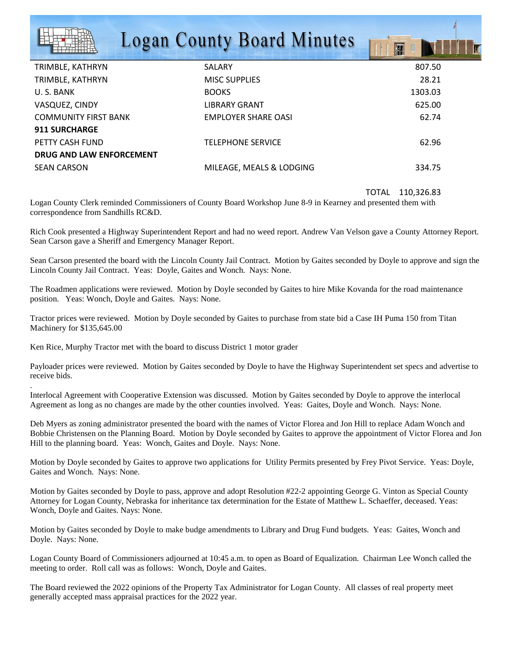## **Logan County Board Minutes**

| TRIMBLE, KATHRYN            | <b>SALARY</b>            | 807.50  |
|-----------------------------|--------------------------|---------|
| TRIMBLE, KATHRYN            | <b>MISC SUPPLIES</b>     | 28.21   |
| U.S. BANK                   | <b>BOOKS</b>             | 1303.03 |
| VASQUEZ, CINDY              | <b>LIBRARY GRANT</b>     | 625.00  |
| <b>COMMUNITY FIRST BANK</b> | EMPLOYER SHARE OASI      | 62.74   |
| <b>911 SURCHARGE</b>        |                          |         |
| PETTY CASH FUND             | <b>TELEPHONE SERVICE</b> | 62.96   |
| DRUG AND LAW ENFORCEMENT    |                          |         |
| <b>SEAN CARSON</b>          | MILEAGE, MEALS & LODGING | 334.75  |
|                             |                          |         |

TOTAL 110,326.83

丽山

Logan County Clerk reminded Commissioners of County Board Workshop June 8-9 in Kearney and presented them with correspondence from Sandhills RC&D.

Rich Cook presented a Highway Superintendent Report and had no weed report. Andrew Van Velson gave a County Attorney Report. Sean Carson gave a Sheriff and Emergency Manager Report.

Sean Carson presented the board with the Lincoln County Jail Contract. Motion by Gaites seconded by Doyle to approve and sign the Lincoln County Jail Contract. Yeas: Doyle, Gaites and Wonch. Nays: None.

The Roadmen applications were reviewed. Motion by Doyle seconded by Gaites to hire Mike Kovanda for the road maintenance position. Yeas: Wonch, Doyle and Gaites. Nays: None.

Tractor prices were reviewed. Motion by Doyle seconded by Gaites to purchase from state bid a Case IH Puma 150 from Titan Machinery for \$135,645.00

Ken Rice, Murphy Tractor met with the board to discuss District 1 motor grader

.

Payloader prices were reviewed. Motion by Gaites seconded by Doyle to have the Highway Superintendent set specs and advertise to receive bids.

Interlocal Agreement with Cooperative Extension was discussed. Motion by Gaites seconded by Doyle to approve the interlocal Agreement as long as no changes are made by the other counties involved. Yeas: Gaites, Doyle and Wonch. Nays: None.

Deb Myers as zoning administrator presented the board with the names of Victor Florea and Jon Hill to replace Adam Wonch and Bobbie Christensen on the Planning Board. Motion by Doyle seconded by Gaites to approve the appointment of Victor Florea and Jon Hill to the planning board. Yeas: Wonch, Gaites and Doyle. Nays: None.

Motion by Doyle seconded by Gaites to approve two applications for Utility Permits presented by Frey Pivot Service. Yeas: Doyle, Gaites and Wonch. Nays: None.

Motion by Gaites seconded by Doyle to pass, approve and adopt Resolution #22-2 appointing George G. Vinton as Special County Attorney for Logan County, Nebraska for inheritance tax determination for the Estate of Matthew L. Schaeffer, deceased. Yeas: Wonch, Doyle and Gaites. Nays: None.

Motion by Gaites seconded by Doyle to make budge amendments to Library and Drug Fund budgets. Yeas: Gaites, Wonch and Doyle. Nays: None.

Logan County Board of Commissioners adjourned at 10:45 a.m. to open as Board of Equalization. Chairman Lee Wonch called the meeting to order. Roll call was as follows: Wonch, Doyle and Gaites.

The Board reviewed the 2022 opinions of the Property Tax Administrator for Logan County. All classes of real property meet generally accepted mass appraisal practices for the 2022 year.